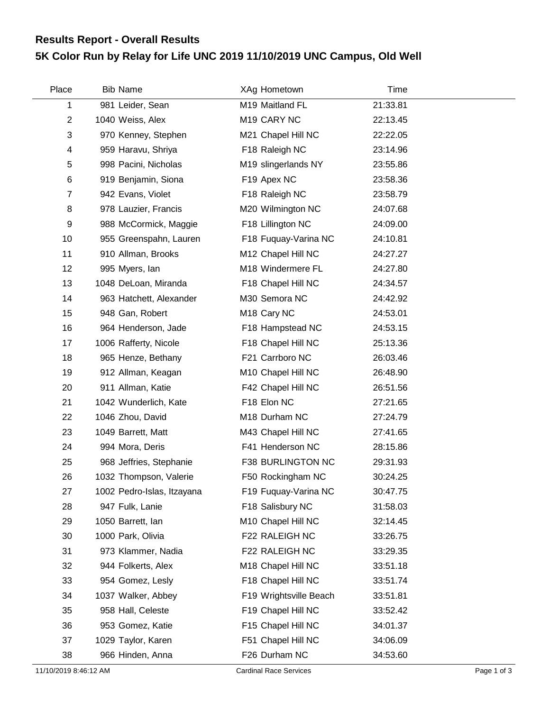## **5K Color Run by Relay for Life UNC 2019 11/10/2019 UNC Campus, Old Well Results Report - Overall Results**

| Place                   | <b>Bib Name</b>            | XAg Hometown            | Time     |  |
|-------------------------|----------------------------|-------------------------|----------|--|
| 1                       | 981 Leider, Sean           | M19 Maitland FL         | 21:33.81 |  |
| $\overline{2}$          | 1040 Weiss, Alex           | M <sub>19</sub> CARY NC | 22:13.45 |  |
| 3                       | 970 Kenney, Stephen        | M21 Chapel Hill NC      | 22:22.05 |  |
| $\overline{\mathbf{4}}$ | 959 Haravu, Shriya         | F18 Raleigh NC          | 23:14.96 |  |
| 5                       | 998 Pacini, Nicholas       | M19 slingerlands NY     | 23:55.86 |  |
| 6                       | 919 Benjamin, Siona        | F19 Apex NC             | 23:58.36 |  |
| 7                       | 942 Evans, Violet          | F18 Raleigh NC          | 23:58.79 |  |
| 8                       | 978 Lauzier, Francis       | M20 Wilmington NC       | 24:07.68 |  |
| 9                       | 988 McCormick, Maggie      | F18 Lillington NC       | 24:09.00 |  |
| 10                      | 955 Greenspahn, Lauren     | F18 Fuquay-Varina NC    | 24:10.81 |  |
| 11                      | 910 Allman, Brooks         | M12 Chapel Hill NC      | 24:27.27 |  |
| 12                      | 995 Myers, lan             | M18 Windermere FL       | 24:27.80 |  |
| 13                      | 1048 DeLoan, Miranda       | F18 Chapel Hill NC      | 24:34.57 |  |
| 14                      | 963 Hatchett, Alexander    | M30 Semora NC           | 24:42.92 |  |
| 15                      | 948 Gan, Robert            | M <sub>18</sub> Cary NC | 24:53.01 |  |
| 16                      | 964 Henderson, Jade        | F18 Hampstead NC        | 24:53.15 |  |
| 17                      | 1006 Rafferty, Nicole      | F18 Chapel Hill NC      | 25:13.36 |  |
| 18                      | 965 Henze, Bethany         | F21 Carrboro NC         | 26:03.46 |  |
| 19                      | 912 Allman, Keagan         | M10 Chapel Hill NC      | 26:48.90 |  |
| 20                      | 911 Allman, Katie          | F42 Chapel Hill NC      | 26:51.56 |  |
| 21                      | 1042 Wunderlich, Kate      | F18 Elon NC             | 27:21.65 |  |
| 22                      | 1046 Zhou, David           | M18 Durham NC           | 27:24.79 |  |
| 23                      | 1049 Barrett, Matt         | M43 Chapel Hill NC      | 27:41.65 |  |
| 24                      | 994 Mora, Deris            | F41 Henderson NC        | 28:15.86 |  |
| 25                      | 968 Jeffries, Stephanie    | F38 BURLINGTON NC       | 29:31.93 |  |
| 26                      | 1032 Thompson, Valerie     | F50 Rockingham NC       | 30:24.25 |  |
| 27                      | 1002 Pedro-Islas, Itzayana | F19 Fuquay-Varina NC    | 30:47.75 |  |
| 28                      | 947 Fulk, Lanie            | F18 Salisbury NC        | 31:58.03 |  |
| 29                      | 1050 Barrett, lan          | M10 Chapel Hill NC      | 32:14.45 |  |
| 30                      | 1000 Park, Olivia          | F22 RALEIGH NC          | 33:26.75 |  |
| 31                      | 973 Klammer, Nadia         | F22 RALEIGH NC          | 33:29.35 |  |
| 32                      | 944 Folkerts, Alex         | M18 Chapel Hill NC      | 33:51.18 |  |
| 33                      | 954 Gomez, Lesly           | F18 Chapel Hill NC      | 33:51.74 |  |
| 34                      | 1037 Walker, Abbey         | F19 Wrightsville Beach  | 33:51.81 |  |
| 35                      | 958 Hall, Celeste          | F19 Chapel Hill NC      | 33:52.42 |  |
| 36                      | 953 Gomez, Katie           | F15 Chapel Hill NC      | 34:01.37 |  |
| 37                      | 1029 Taylor, Karen         | F51 Chapel Hill NC      | 34:06.09 |  |
| 38                      | 966 Hinden, Anna           | F26 Durham NC           | 34:53.60 |  |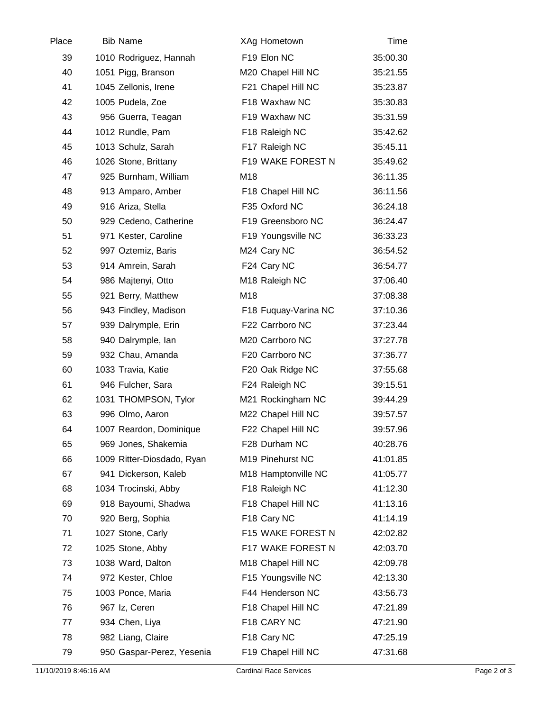| Place | <b>Bib Name</b>            | XAg Hometown         | Time     |  |
|-------|----------------------------|----------------------|----------|--|
| 39    | 1010 Rodriguez, Hannah     | F19 Elon NC          | 35:00.30 |  |
| 40    | 1051 Pigg, Branson         | M20 Chapel Hill NC   | 35:21.55 |  |
| 41    | 1045 Zellonis, Irene       | F21 Chapel Hill NC   | 35:23.87 |  |
| 42    | 1005 Pudela, Zoe           | F18 Waxhaw NC        | 35:30.83 |  |
| 43    | 956 Guerra, Teagan         | F19 Waxhaw NC        | 35:31.59 |  |
| 44    | 1012 Rundle, Pam           | F18 Raleigh NC       | 35:42.62 |  |
| 45    | 1013 Schulz, Sarah         | F17 Raleigh NC       | 35:45.11 |  |
| 46    | 1026 Stone, Brittany       | F19 WAKE FOREST N    | 35:49.62 |  |
| 47    | 925 Burnham, William       | M18                  | 36:11.35 |  |
| 48    | 913 Amparo, Amber          | F18 Chapel Hill NC   | 36:11.56 |  |
| 49    | 916 Ariza, Stella          | F35 Oxford NC        | 36:24.18 |  |
| 50    | 929 Cedeno, Catherine      | F19 Greensboro NC    | 36:24.47 |  |
| 51    | 971 Kester, Caroline       | F19 Youngsville NC   | 36:33.23 |  |
| 52    | 997 Oztemiz, Baris         | M24 Cary NC          | 36:54.52 |  |
| 53    | 914 Amrein, Sarah          | F24 Cary NC          | 36:54.77 |  |
| 54    | 986 Majtenyi, Otto         | M18 Raleigh NC       | 37:06.40 |  |
| 55    | 921 Berry, Matthew         | M18                  | 37:08.38 |  |
| 56    | 943 Findley, Madison       | F18 Fuquay-Varina NC | 37:10.36 |  |
| 57    | 939 Dalrymple, Erin        | F22 Carrboro NC      | 37:23.44 |  |
| 58    | 940 Dalrymple, Ian         | M20 Carrboro NC      | 37:27.78 |  |
| 59    | 932 Chau, Amanda           | F20 Carrboro NC      | 37:36.77 |  |
| 60    | 1033 Travia, Katie         | F20 Oak Ridge NC     | 37:55.68 |  |
| 61    | 946 Fulcher, Sara          | F24 Raleigh NC       | 39:15.51 |  |
| 62    | 1031 THOMPSON, Tylor       | M21 Rockingham NC    | 39:44.29 |  |
| 63    | 996 Olmo, Aaron            | M22 Chapel Hill NC   | 39:57.57 |  |
| 64    | 1007 Reardon, Dominique    | F22 Chapel Hill NC   | 39:57.96 |  |
| 65    | 969 Jones, Shakemia        | F28 Durham NC        | 40:28.76 |  |
| 66    | 1009 Ritter-Diosdado, Ryan | M19 Pinehurst NC     | 41:01.85 |  |
| 67    | 941 Dickerson, Kaleb       | M18 Hamptonville NC  | 41:05.77 |  |
| 68    | 1034 Trocinski, Abby       | F18 Raleigh NC       | 41:12.30 |  |
| 69    | 918 Bayoumi, Shadwa        | F18 Chapel Hill NC   | 41:13.16 |  |
| 70    | 920 Berg, Sophia           | F18 Cary NC          | 41:14.19 |  |
| 71    | 1027 Stone, Carly          | F15 WAKE FOREST N    | 42:02.82 |  |
| 72    | 1025 Stone, Abby           | F17 WAKE FOREST N    | 42:03.70 |  |
| 73    | 1038 Ward, Dalton          | M18 Chapel Hill NC   | 42:09.78 |  |
| 74    | 972 Kester, Chloe          | F15 Youngsville NC   | 42:13.30 |  |
| 75    | 1003 Ponce, Maria          | F44 Henderson NC     | 43:56.73 |  |
| 76    | 967 Iz, Ceren              | F18 Chapel Hill NC   | 47:21.89 |  |
| 77    | 934 Chen, Liya             | F18 CARY NC          | 47:21.90 |  |
| 78    | 982 Liang, Claire          | F18 Cary NC          | 47:25.19 |  |
| 79    | 950 Gaspar-Perez, Yesenia  | F19 Chapel Hill NC   | 47:31.68 |  |